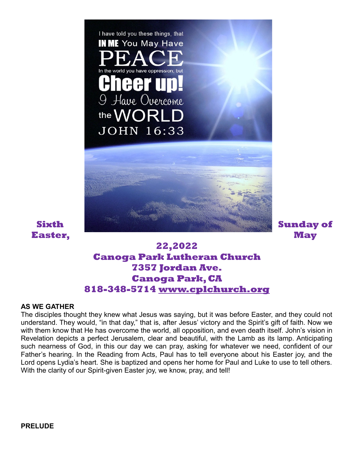

# **22,2022 Canoga Park Lutheran Church 7357 Jordan Ave. Canoga Park, CA 818-348-5714 [www.cplchurch.org](http://www.cplchurch.org/)**

#### **AS WE GATHER**

The disciples thought they knew what Jesus was saying, but it was before Easter, and they could not understand. They would, "in that day," that is, after Jesus' victory and the Spirit's gift of faith. Now we with them know that He has overcome the world, all opposition, and even death itself. John's vision in Revelation depicts a perfect Jerusalem, clear and beautiful, with the Lamb as its lamp. Anticipating such nearness of God, in this our day we can pray, asking for whatever we need, confident of our Father's hearing. In the Reading from Acts, Paul has to tell everyone about his Easter joy, and the Lord opens Lydia's heart. She is baptized and opens her home for Paul and Luke to use to tell others. With the clarity of our Spirit-given Easter joy, we know, pray, and tell!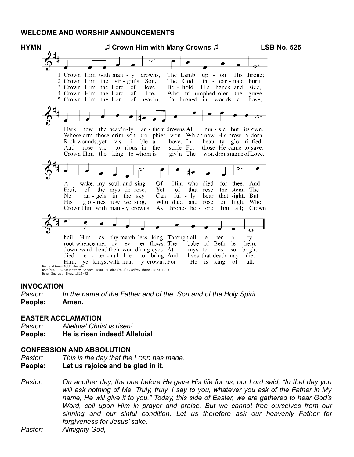#### **WELCOME AND WORSHIP ANNOUNCEMENTS**



#### **INVOCATION**

*Pastor: In the name of the Father and of the Son and of the Holy Spirit.* **People: Amen.**

#### **EASTER ACCLAMATION**

- *Pastor: Alleluia! Christ is risen!*
- **People: He is risen indeed! Alleluia!**

#### **CONFESSION AND ABSOLUTION**

*Pastor: This is the day that the LORD has made.*

#### **People: Let us rejoice and be glad in it.**

*Pastor: On another day, the one before He gave His life for us, our Lord said, "In that day you will ask nothing of Me. Truly, truly, I say to you, whatever you ask of the Father in My name, He will give it to you." Today, this side of Easter, we are gathered to hear God's Word, call upon Him in prayer and praise. But we cannot free ourselves from our sinning and our sinful condition. Let us therefore ask our heavenly Father for forgiveness for Jesus' sake.*

*Pastor: Almighty God,*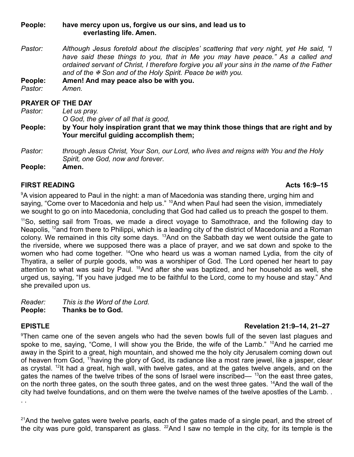#### **People: have mercy upon us, forgive us our sins, and lead us to everlasting life. Amen.**

*Pastor: Although Jesus foretold about the disciples' scattering that very night, yet He said, "I have said these things to you, that in Me you may have peace." As a called and ordained servant of Christ, I therefore forgive you all your sins in the name of the Father and of the Son and of the Holy Spirit. Peace be with you.*

**People: Amen! And may peace also be with you.**

*Pastor: Amen.*

## **PRAYER OF THE DAY**

*Pastor: Let us pray.*

*O God, the giver of all that is good,*

**People: by Your holy inspiration grant that we may think those things that are right and by Your merciful guiding accomplish them;**

*Pastor: through Jesus Christ, Your Son, our Lord, who lives and reigns with You and the Holy Spirit, one God, now and forever*.

**People: Amen.**

## **FIRST READING Acts 16:9–15**

<sup>9</sup>A vision appeared to Paul in the night: a man of Macedonia was standing there, urging him and saying, "Come over to Macedonia and help us." <sup>10</sup>And when Paul had seen the vision, immediately we sought to go on into Macedonia, concluding that God had called us to preach the gospel to them.

<sup>11</sup>So, setting sail from Troas, we made a direct voyage to Samothrace, and the following day to Neapolis, <sup>12</sup>and from there to Philippi, which is a leading city of the district of Macedonia and a Roman colony. We remained in this city some days. <sup>13</sup>And on the Sabbath day we went outside the gate to the riverside, where we supposed there was a place of prayer, and we sat down and spoke to the women who had come together. <sup>14</sup>One who heard us was a woman named Lydia, from the city of Thyatira, a seller of purple goods, who was a worshiper of God. The Lord opened her heart to pay attention to what was said by Paul. <sup>15</sup>And after she was baptized, and her household as well, she urged us, saying, "If you have judged me to be faithful to the Lord, come to my house and stay." And she prevailed upon us.

*Reader: This is the Word of the Lord.* **People: Thanks be to God.**

## **EPISTLE Revelation 21:9–14, 21–27**

<sup>9</sup>Then came one of the seven angels who had the seven bowls full of the seven last plagues and spoke to me, saying, "Come, I will show you the Bride, the wife of the Lamb." <sup>10</sup>And he carried me away in the Spirit to a great, high mountain, and showed me the holy city Jerusalem coming down out of heaven from God, <sup>11</sup>having the glory of God, its radiance like a most rare jewel, like a jasper, clear as crystal. <sup>12</sup>It had a great, high wall, with twelve gates, and at the gates twelve angels, and on the gates the names of the twelve tribes of the sons of Israel were inscribed—  $^{13}$ on the east three gates, on the north three gates, on the south three gates, and on the west three gates. <sup>14</sup>And the wall of the city had twelve foundations, and on them were the twelve names of the twelve apostles of the Lamb. . . .

 $21$ And the twelve gates were twelve pearls, each of the gates made of a single pearl, and the street of the city was pure gold, transparent as glass.  $^{22}$ And I saw no temple in the city, for its temple is the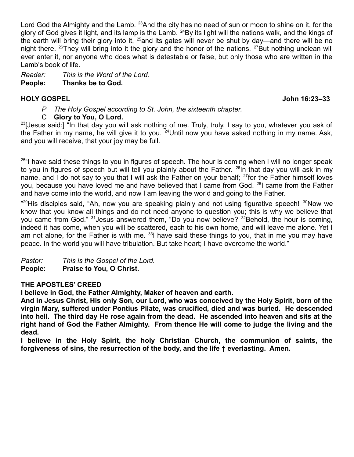Lord God the Almighty and the Lamb. <sup>23</sup> And the city has no need of sun or moon to shine on it, for the glory of God gives it light, and its lamp is the Lamb. <sup>24</sup>By its light will the nations walk, and the kings of the earth will bring their glory into it,  $^{25}$  and its gates will never be shut by day—and there will be no night there.  $^{26}$ They will bring into it the glory and the honor of the nations.  $^{27}$ But nothing unclean will ever enter it, nor anyone who does what is detestable or false, but only those who are written in the Lamb's book of life.

*Reader: This is the Word of the Lord.*

## **People: Thanks be to God.**

## **HOLY GOSPEL John 16:23–33**

- *P The Holy Gospel according to St. John, the sixteenth chapter.*
- C **Glory to You, O Lord.**

<sup>23</sup>[Jesus said:] "In that day you will ask nothing of me. Truly, truly, I say to you, whatever you ask of the Father in my name, he will give it to you.  $^{24}$ Until now you have asked nothing in my name. Ask, and you will receive, that your joy may be full.

 $25$ "I have said these things to you in figures of speech. The hour is coming when I will no longer speak to you in figures of speech but will tell you plainly about the Father.  $^{26}$ In that day you will ask in my name, and I do not say to you that I will ask the Father on your behalf; <sup>27</sup> for the Father himself loves you, because you have loved me and have believed that I came from God. <sup>28</sup>I came from the Father and have come into the world, and now I am leaving the world and going to the Father.

"<sup>29</sup>His disciples said, "Ah, now you are speaking plainly and not using figurative speech! <sup>30</sup>Now we know that you know all things and do not need anyone to question you; this is why we believe that you came from God."  $31$  Jesus answered them, "Do you now believe?  $32$  Behold, the hour is coming, indeed it has come, when you will be scattered, each to his own home, and will leave me alone. Yet I am not alone, for the Father is with me.  $33$  have said these things to you, that in me you may have peace. In the world you will have tribulation. But take heart; I have overcome the world."

*Pastor: This is the Gospel of the Lord.* **People: Praise to You, O Christ.**

## **THE APOSTLES' CREED**

**I believe in God, the Father Almighty, Maker of heaven and earth.**

**And in Jesus Christ, His only Son, our Lord, who was conceived by the Holy Spirit, born of the virgin Mary, suffered under Pontius Pilate, was crucified, died and was buried. He descended into hell. The third day He rose again from the dead. He ascended into heaven and sits at the right hand of God the Father Almighty. From thence He will come to judge the living and the dead.**

**I believe in the Holy Spirit, the holy Christian Church, the communion of saints, the forgiveness of sins, the resurrection of the body, and the life † everlasting. Amen.**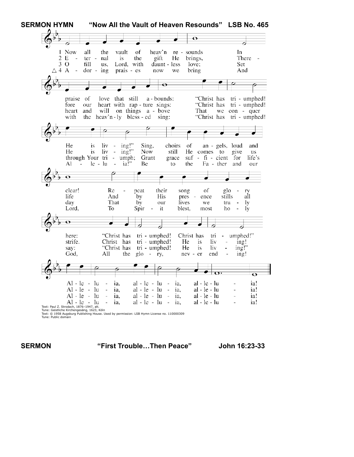

**SERMON "First Trouble…Then Peace" John 16:23-33**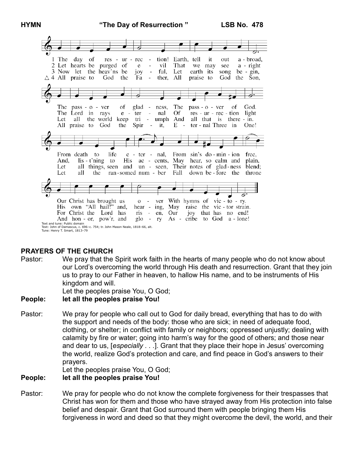

## **PRAYERS OF THE CHURCH**

Pastor: We pray that the Spirit work faith in the hearts of many people who do not know about our Lord's overcoming the world through His death and resurrection. Grant that they join us to pray to our Father in heaven, to hallow His name, and to be instruments of His kingdom and will.

Let the peoples praise You, O God;

#### **People: let all the peoples praise You!**

Pastor: We pray for people who call out to God for daily bread, everything that has to do with the support and needs of the body: those who are sick; in need of adequate food, clothing, or shelter; in conflict with family or neighbors; oppressed unjustly; dealing with calamity by fire or water; going into harm's way for the good of others; and those near and dear to us, [*especially . . .*]. Grant that they place their hope in Jesus' overcoming the world, realize God's protection and care, and find peace in God's answers to their prayers.

Let the peoples praise You, O God;

#### **People: let all the peoples praise You!**

Pastor: We pray for people who do not know the complete forgiveness for their trespasses that Christ has won for them and those who have strayed away from His protection into false belief and despair. Grant that God surround them with people bringing them His forgiveness in word and deed so that they might overcome the devil, the world, and their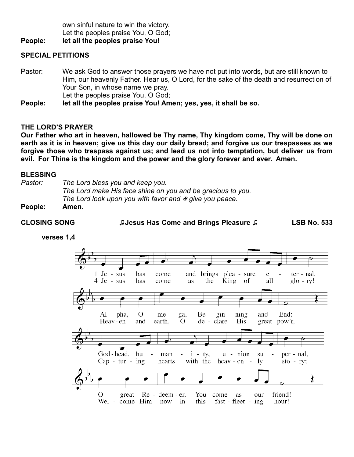own sinful nature to win the victory. Let the peoples praise You, O God;

**People: let all the peoples praise You!**

### **SPECIAL PETITIONS**

Pastor: We ask God to answer those prayers we have not put into words, but are still known to Him, our heavenly Father. Hear us, O Lord, for the sake of the death and resurrection of Your Son, in whose name we pray. Let the peoples praise You, O God;

**People: let all the peoples praise You! Amen; yes, yes, it shall be so.**

### **THE LORD'S PRAYER**

**Our Father who art in heaven, hallowed be Thy name, Thy kingdom come, Thy will be done on earth as it is in heaven; give us this day our daily bread; and forgive us our trespasses as we forgive those who trespass against us; and lead us not into temptation, but deliver us from evil. For Thine is the kingdom and the power and the glory forever and ever. Amen.**

#### **BLESSING**

*Pastor: The Lord bless you and keep you. The Lord make His face shine on you and be gracious to you. The Lord look upon you with favor and*  $\overline{x}$  *give you peace.* **People: Amen.**

**CLOSING SONG ♫Jesus Has Come and Brings Pleasure ♫ LSB No. 533**

**verses 1,4**

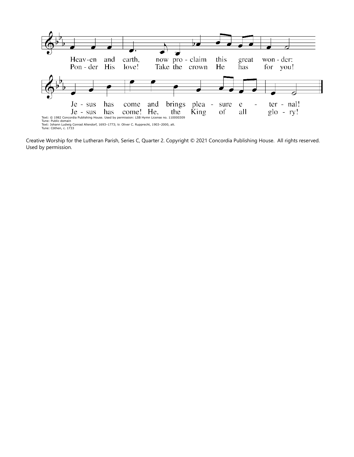

Creative Worship for the Lutheran Parish, Series C, Quarter 2. Copyright © 2021 Concordia Publishing House. All rights reserved. Used by permission.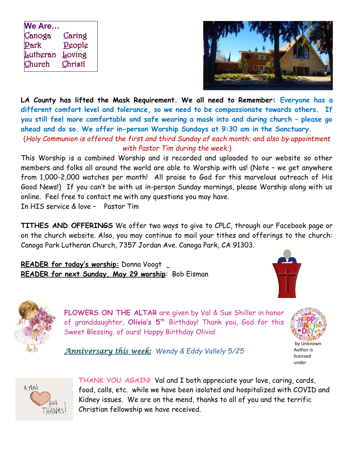| We Are           |                |
|------------------|----------------|
| Canoga           | <u>C</u> aring |
| Park             | People         |
| <u>L</u> utheran | <u>L</u> oving |
| Church           | Christ!        |



**LA County has lifted the Mask Requirement. We all need to Remember: Everyone has a different comfort level and tolerance, so we need to be compassionate towards others. If you still feel more comfortable and safe wearing a mask into and during church – please go ahead and do so. We offer in-person Worship Sundays at 9:30 am in the Sanctuary.**  (*Holy Communion is offered the first and third Sunday of each month*; and *also by appointment*

*with Pastor Tim during the week*.)

This Worship is a combined Worship and is recorded and uploaded to our website so other members and folks all around the world are able to Worship with us! (Note – we get anywhere from 1,000-2,000 watches per month! All praise to God for this marvelous outreach of His Good News!) If you can't be with us in-person Sunday mornings, please Worship along with us online. Feel free to contact me with any questions you may have. In HIS service & love – Pastor Tim

**TITHES AND OFFERINGS** We offer two ways to give to CPLC, through our Facebook page or on the church website. Also, you may continue to mail your tithes and offerings to the church: Canoga Park Lutheran Church, 7357 Jordan Ave. Canoga Park, CA 91303.

**READER for today's worship:** Donna Voogt **READER for next Sunday, May 29 worship**: Bob Eisman





**FLOWERS ON THE ALTAR** are given by Val & Sue Shiller in honor of granddaughter, **Olivia's 5th** Birthday! Thank you, God for this Sweet Blessing, of ours! Happy Birthday Olivia!



licensed under

*Anniversary this week: Wendy & Eddy Vallely 5/25*



**THANK YOU AGAIN!** Val and I both appreciate your love, caring, cards, food, calls, etc. while we have been isolated and hospitalized with COVID and Kidney issues. We are on the mend, thanks to all of you and the terrific Christian fellowship we have received.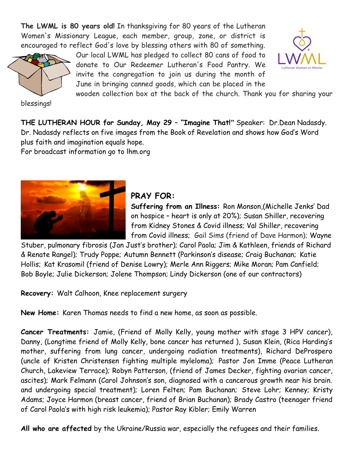**The LWML is 80 years old!** In thanksgiving for 80 years of the Lutheran Women's Missionary League, each member, group, zone, or district is encouraged to reflect God's love by blessing others with 80 of something.



Our local LWML has pledged to collect 80 cans of food to donate to Our Redeemer Lutheran's Food Pantry. We invite the congregation to join us during the month of June in bringing canned goods, which can be placed in the



wooden collection box at the back of the church. Thank you for sharing your

blessings!

**THE LUTHERAN HOUR for Sunday, May 29 – "Imagine That!"** Speaker: Dr.Dean Nadasdy. Dr. Nadasdy reflects on five images from the Book of Revelation and shows how God's Word plus faith and imagination equals hope.

For broadcast information go to lhm.org



# **PRAY FOR:**

**Suffering from an Illness:** Ron Monson,(Michelle Jenks' Dad on hospice – heart is only at 20%); Susan Shiller, recovering from Kidney Stones & Covid illness; Val Shiller, recovering from Covid illness; Gail Sims (friend of Dave Harmon); Wayne

Stuber, pulmonary fibrosis (Jan Just's brother); Carol Paola; Jim & Kathleen, friends of Richard & Renate Rangel); Trudy Poppe; Autumn Bennett (Parkinson's disease; Craig Buchanan; Katie Hollis; Kat Krasomil (friend of Denise Lowry); Merle Ann Riggers; Mike Moran; Pam Canfield; Bob Boyle; Julie Dickerson; Jolene Thompson; Lindy Dickerson (one of our contractors)

**Recovery:** Walt Calhoon, Knee replacement surgery

**New Home:** Karen Thomas needs to find a new home, as soon as possible.

**Cancer Treatments:** Jamie, (Friend of Molly Kelly, young mother with stage 3 HPV cancer), Danny, (Longtime friend of Molly Kelly, bone cancer has returned ), Susan Klein, (Rica Harding's mother, suffering from lung cancer, undergoing radiation treatments), Richard DeProspero (uncle of Kristen Christensen fighting multiple myleloma); Pastor Jon Imme (Peace Lutheran Church, Lakeview Terrace); Robyn Patterson, (friend of James Decker, fighting ovarian cancer, ascites); Mark Felmann (Carol Johnson's son, diagnosed with a cancerous growth near his brain. and undergoing special treatment); Loren Felten; Pam Buchanan; Steve Lohr; Kenney; Kristy Adams; Joyce Harmon (breast cancer, friend of Brian Buchanan); Brady Castro (teenager friend of Carol Paola's with high risk leukemia); Pastor Ray Kibler; Emily Warren

**All who are affected** by the Ukraine/Russia war, especially the refugees and their families.